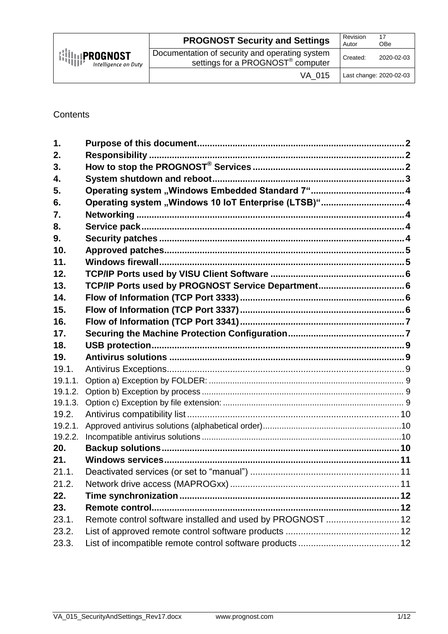|                                                                                         | <b>PROGNOST Security and Settings</b>                                                           | Revision<br>Autor | 17<br><b>OBe</b>        |
|-----------------------------------------------------------------------------------------|-------------------------------------------------------------------------------------------------|-------------------|-------------------------|
| $\left \left \left \left \right \right \right \right $ PROGNOST<br>Intelligence on Duty | Documentation of security and operating system<br>settings for a PROGNOST <sup>®</sup> computer | Created:          | 2020-02-03              |
|                                                                                         | VA 015                                                                                          |                   | Last change: 2020-02-03 |

**Contents** 

| $\mathbf 1$ .  |                                                            |  |
|----------------|------------------------------------------------------------|--|
| 2.             |                                                            |  |
| 3.             |                                                            |  |
| 4.             |                                                            |  |
| 5.             | Operating system "Windows Embedded Standard 7" 4           |  |
| 6.             | Operating system "Windows 10 IoT Enterprise (LTSB)" 4      |  |
| 7.             |                                                            |  |
| 8.             |                                                            |  |
| 9.             |                                                            |  |
| 10.            |                                                            |  |
| 11.            |                                                            |  |
| 12.            |                                                            |  |
| 13.            | TCP/IP Ports used by PROGNOST Service Department 6         |  |
| 14.            |                                                            |  |
| 15.            |                                                            |  |
| 16.            |                                                            |  |
| 17.            |                                                            |  |
|                |                                                            |  |
| 18.            |                                                            |  |
| 19.            |                                                            |  |
| 19.1.          |                                                            |  |
| 19.1.1.        |                                                            |  |
| 19.1.2.        |                                                            |  |
| 19.1.3.        |                                                            |  |
| 19.2.          |                                                            |  |
| 19.2.1.        |                                                            |  |
| 19.2.2.        |                                                            |  |
| 20.            |                                                            |  |
| 21.            |                                                            |  |
| 21.1.          |                                                            |  |
| 21.2.          |                                                            |  |
| 22.            |                                                            |  |
| 23.            | Remote control                                             |  |
| 23.1.          | Remote control software installed and used by PROGNOST  12 |  |
| 23.2.<br>23.3. |                                                            |  |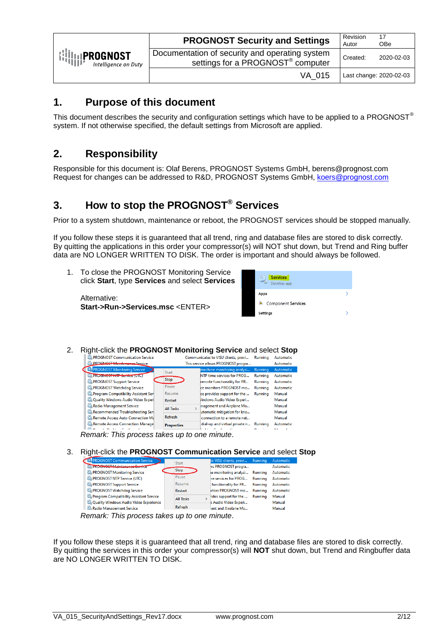|                                                                                                                                                          | <b>PROGNOST Security and Settings</b>                                                           | Revision<br>Autor | 17<br><b>OBe</b>        |
|----------------------------------------------------------------------------------------------------------------------------------------------------------|-------------------------------------------------------------------------------------------------|-------------------|-------------------------|
| $\left\{\left\{\left\{\right\}\right\}_{\left\{\left\{\right\}\right\}}\right\}_{\left\{\left\{\left\{\right\}\right\}\right\}}$<br>Intelligence on Duty | Documentation of security and operating system<br>settings for a PROGNOST <sup>®</sup> computer | Created:          | 2020-02-03              |
|                                                                                                                                                          | VA 015                                                                                          |                   | Last change: 2020-02-03 |

# <span id="page-1-0"></span>**1. Purpose of this document**

This document describes the security and configuration settings which have to be applied to a PROGNOST® system. If not otherwise specified, the default settings from Microsoft are applied.

# <span id="page-1-1"></span>**2. Responsibility**

Responsible for this document is: Olaf Berens, PROGNOST Systems GmbH, berens@prognost.com Request for changes can be addressed to R&D, PROGNOST Systems GmbH, [koers@prognost.com](mailto:koers@prognost.com)

# <span id="page-1-2"></span>**3. How to stop the PROGNOST® Services**

Prior to a system shutdown, maintenance or reboot, the PROGNOST services should be stopped manually.

If you follow these steps it is guaranteed that all trend, ring and database files are stored to disk correctly. By quitting the applications in this order your compressor(s) will NOT shut down, but Trend and Ring buffer data are NO LONGER WRITTEN TO DISK. The order is important and should always be followed.

1. To close the PROGNOST Monitoring Service click **Start**, type **Services** and select **Services**

Alternative: **Start->Run->Services.msc** <ENTER>

| <b>Services</b><br>Desktop app  |  |
|---------------------------------|--|
| Apps                            |  |
| <b>Component Services</b><br>ø. |  |
| <b>Settings</b>                 |  |

2. Right-click the **PROGNOST Monitoring Service** and select **Stop**

| <b>CA PROGNOST Communication Service</b> |                   | Communicates to VISU clients, provi | Running        | Automatic |
|------------------------------------------|-------------------|-------------------------------------|----------------|-----------|
| <b>C. PROGNOST Maintenance Service</b>   |                   | This service allows PROGNOST progra |                | Automatic |
| PROGNOST Monitoring Service              | Start             | machine monitoring analysi          | Running        | Automatic |
| <b>CA PROGROST NTP Service (UTC)</b>     |                   | NTP time services for PROG          | Running        | Automatic |
| <b>C. PROGNOST Support Service</b>       | Stop              | remote functionality for PR         | Running        | Automatic |
| PROGNOST Watchdog Service                | Pause             | ce monitors PROGNOST mo             | Running        | Automatic |
| Program Compatibility Assistant Sen      | Resume            | ce provides support for the         | <b>Running</b> | Manual    |
| C. Quality Windows Audio Video Experi    | Restart           | Vindows Audio Video Experi          |                | Manual    |
| Radio Management Service                 | <b>All Tasks</b>  | nagement and Airplane Mo            |                | Manual    |
| Recommended Troubleshooting Serv         |                   | utomatic mitigation for kno         |                | Manual    |
| Remote Access Auto Connection Ma         | Refresh           | connection to a remote net          |                | Manual    |
| Remote Access Connection Manage          | <b>Properties</b> | dial-up and virtual private n       | Runnina        | Automatic |
|                                          |                   |                                     |                | . .       |

*Remark: This process takes up to one minute*.

3. Right-click the **PROGNOST Communication Service** and select **Stop**

| <b>EXAPROGNOST Communication Service</b>  | Start            |  | to VISU clients, provi Running |         | Automatic |
|-------------------------------------------|------------------|--|--------------------------------|---------|-----------|
| <b>CAPROGNOST Maintenance Service</b>     |                  |  | vs PROGNOST progra             |         | Automatic |
| <b>C. PROGNOST Monitoring Service</b>     | <b>Stop</b>      |  | le monitoring analysi          | Running | Automatic |
| PROGNOST NTP Service (UTC)                | Pause            |  | he services for PROG           | Running | Automatic |
| <b>C. PROGNOST Support Service</b>        | Resume           |  | functionality for PR           | Running | Automatic |
| <b>CA PROGNOST Watchdog Service</b>       | Restart          |  | litors PROGNOST mo             | Running | Automatic |
| Program Compatibility Assistant Service   | <b>All Tasks</b> |  | ides support for the           | Running | Manual    |
| C. Quality Windows Audio Video Experience |                  |  | s Audio Video Experi           |         | Manual    |
| Radio Management Service                  | Refresh          |  | ent and Airplane Mo            |         | Manual    |
|                                           |                  |  |                                |         |           |

*Remark: This process takes up to one minute*.

If you follow these steps it is guaranteed that all trend, ring and database files are stored to disk correctly. By quitting the services in this order your compressor(s) will **NOT** shut down, but Trend and Ringbuffer data are NO LONGER WRITTEN TO DISK.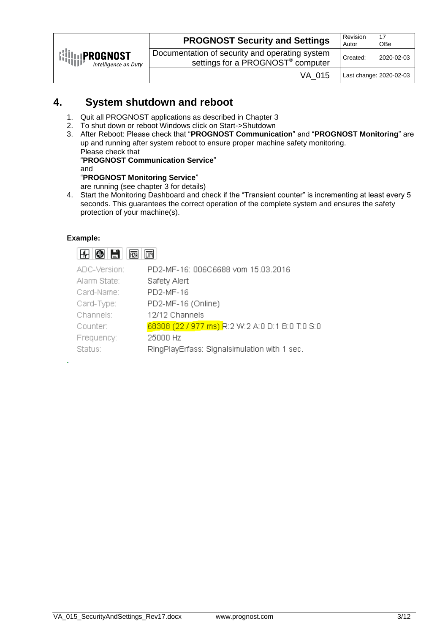|                                                                                       | <b>PROGNOST Security and Settings</b>                                                           | Revision<br>Autor | 17<br><b>OBe</b>        |
|---------------------------------------------------------------------------------------|-------------------------------------------------------------------------------------------------|-------------------|-------------------------|
| $\left\{ \left\{ \left\{ \right\} \right\} \right\}$ PROGNOST<br>Intelligence on Duty | Documentation of security and operating system<br>settings for a PROGNOST <sup>®</sup> computer | Created:          | 2020-02-03              |
|                                                                                       | VA 015                                                                                          |                   | Last change: 2020-02-03 |

## <span id="page-2-0"></span>**4. System shutdown and reboot**

- 1. Quit all PROGNOST applications as described in Chapter 3
- 2. To shut down or reboot Windows click on Start->Shutdown
- 3. After Reboot: Please check that "**PROGNOST Communication**" and "**PROGNOST Monitoring**" are up and running after system reboot to ensure proper machine safety monitoring. Please check that "**PROGNOST Communication Service**" and

#### "**PROGNOST Monitoring Service**"

are running (see chapter 3 for details)

4. Start the Monitoring Dashboard and check if the "Transient counter" is incrementing at least every 5 seconds. This guarantees the correct operation of the complete system and ensures the safety protection of your machine(s).

#### **Example:**



| ADC-Version: | PD2-MF-16: 006C6688 vom 15.03.2016              |
|--------------|-------------------------------------------------|
| Alarm State: | Safety Alert                                    |
| Card-Name:   | PD2-MF-16                                       |
| Card-Type:   | PD2-MF-16 (Online)                              |
| Channels:    | 12/12 Channels                                  |
| Counter:     | 68308 (22 / 977 ms) R:2 W:2 A:0 D:1 B:0 T:0 S:0 |
| Frequency:   | 25000 Hz                                        |
| Status:      | RingPlayErfass: Signalsimulation with 1 sec.    |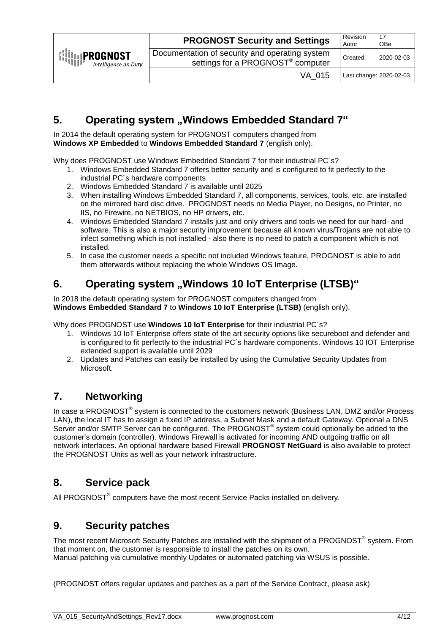|                                                                                                                                                           | <b>PROGNOST Security and Settings</b>                                                           | Revision<br>Autor | 17<br><b>OBe</b>        |
|-----------------------------------------------------------------------------------------------------------------------------------------------------------|-------------------------------------------------------------------------------------------------|-------------------|-------------------------|
| $\left\{\left\{\left\ \right\ ,\left\ \right\ ,\left\ \right\ ,\left\ \right\ ,\left\ \right\ \right\}\right\}$ Intelligence on L<br>Intelligence on Duty | Documentation of security and operating system<br>settings for a PROGNOST <sup>®</sup> computer | Created:          | 2020-02-03              |
|                                                                                                                                                           | VA 015                                                                                          |                   | Last change: 2020-02-03 |

# <span id="page-3-0"></span>**5.** Operating system "Windows Embedded Standard 7"

In 2014 the default operating system for PROGNOST computers changed from **Windows XP Embedded** to **Windows Embedded Standard 7** (english only).

Why does PROGNOST use Windows Embedded Standard 7 for their industrial PC´s?

- 1. Windows Embedded Standard 7 offers better security and is configured to fit perfectly to the industrial PC´s hardware components
- 2. Windows Embedded Standard 7 is available until 2025
- 3. When installing Windows Embedded Standard 7, all components, services, tools, etc. are installed on the mirrored hard disc drive. PROGNOST needs no Media Player, no Designs, no Printer, no IIS, no Firewire, no NETBIOS, no HP drivers, etc.
- 4. Windows Embedded Standard 7 installs just and only drivers and tools we need for our hard- and software. This is also a major security improvement because all known virus/Trojans are not able to infect something which is not installed - also there is no need to patch a component which is not installed.
- 5. In case the customer needs a specific not included Windows feature, PROGNOST is able to add them afterwards without replacing the whole Windows OS Image.

# <span id="page-3-1"></span>**6.** Operating system "Windows 10 IoT Enterprise (LTSB)"

In 2018 the default operating system for PROGNOST computers changed from **Windows Embedded Standard 7** to **Windows 10 IoT Enterprise (LTSB)** (english only).

Why does PROGNOST use **Windows 10 IoT Enterprise** for their industrial PC´s?

- 1. Windows 10 IoT Enterprise offers state of the art security options like secureboot and defender and is configured to fit perfectly to the industrial PC´s hardware components. Windows 10 IOT Enterprise extended support is available until 2029
- 2. Updates and Patches can easily be installed by using the Cumulative Security Updates from Microsoft.

## <span id="page-3-2"></span>**7. Networking**

In case a PROGNOST® system is connected to the customers network (Business LAN, DMZ and/or Process LAN), the local IT has to assign a fixed IP address, a Subnet Mask and a default Gateway. Optional a DNS Server and/or SMTP Server can be configured. The PROGNOST® system could optionally be added to the customer's domain (controller). Windows Firewall is activated for incoming AND outgoing traffic on all network interfaces. An optional hardware based Firewall **PROGNOST NetGuard** is also available to protect the PROGNOST Units as well as your network infrastructure.

### <span id="page-3-3"></span>**8. Service pack**

All PROGNOST $^{\circ}$  computers have the most recent Service Packs installed on delivery.

### <span id="page-3-4"></span>**9. Security patches**

The most recent Microsoft Security Patches are installed with the shipment of a PROGNOST® system. From that moment on, the customer is responsible to install the patches on its own. Manual patching via cumulative monthly Updates or automated patching via WSUS is possible.

(PROGNOST offers regular updates and patches as a part of the Service Contract, please ask)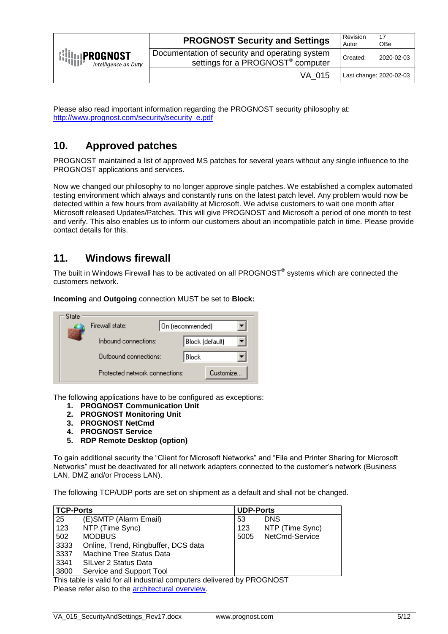|                                                                                                                                                          | <b>PROGNOST Security and Settings</b>                                                           | Revision<br>Autor | 17<br><b>OBe</b>        |
|----------------------------------------------------------------------------------------------------------------------------------------------------------|-------------------------------------------------------------------------------------------------|-------------------|-------------------------|
| $\left\{\left\{\left\{\right\}\right\}_{\left\{\left\{\right\}\right\}}\right\}_{\left\{\left\{\left\{\right\}\right\}\right\}}$<br>Intelligence on Duty | Documentation of security and operating system<br>settings for a PROGNOST <sup>®</sup> computer | Created:          | 2020-02-03              |
|                                                                                                                                                          | VA 015                                                                                          |                   | Last change: 2020-02-03 |

Please also read important information regarding the PROGNOST security philosophy at: [http://www.prognost.com/security/security\\_e.pdf](http://www.prognost.com/security/security_e.pdf)

# <span id="page-4-0"></span>**10. Approved patches**

PROGNOST maintained a list of approved MS patches for several years without any single influence to the PROGNOST applications and services.

Now we changed our philosophy to no longer approve single patches. We established a complex automated testing environment which always and constantly runs on the latest patch level. Any problem would now be detected within a few hours from availability at Microsoft. We advise customers to wait one month after Microsoft released Updates/Patches. This will give PROGNOST and Microsoft a period of one month to test and verify. This also enables us to inform our customers about an incompatible patch in time. Please provide contact details for this.

### <span id="page-4-1"></span>**11. Windows firewall**

The built in Windows Firewall has to be activated on all PROGNOST® systems which are connected the customers network.

**Incoming** and **Outgoing** connection MUST be set to **Block:**

| State | Firewall state:                | On (recommended) |                 |            |  |
|-------|--------------------------------|------------------|-----------------|------------|--|
|       | Inhound connections:           |                  | Block (default) |            |  |
|       | Outbound connections:          |                  | Block           |            |  |
|       | Protected network connections: |                  |                 | Customize: |  |

The following applications have to be configured as exceptions:

- **1. PROGNOST Communication Unit**
- **2. PROGNOST Monitoring Unit**
- **3. PROGNOST NetCmd**
- **4. PROGNOST Service**
- **5. RDP Remote Desktop (option)**

To gain additional security the "Client for Microsoft Networks" and "File and Printer Sharing for Microsoft Networks" must be deactivated for all network adapters connected to the customer's network (Business LAN, DMZ and/or Process LAN).

The following TCP/UDP ports are set on shipment as a default and shall not be changed.

| TCP-Ports |                                                                        | <b>UDP-Ports</b> |                 |  |
|-----------|------------------------------------------------------------------------|------------------|-----------------|--|
| 25        | (E)SMTP (Alarm Email)                                                  | 53               | <b>DNS</b>      |  |
| 123       | NTP (Time Sync)                                                        | 123              | NTP (Time Sync) |  |
| 502       | <b>MODBUS</b>                                                          | 5005             | NetCmd-Service  |  |
| 3333      | Online, Trend, Ringbuffer, DCS data                                    |                  |                 |  |
| 3337      | <b>Machine Tree Status Data</b>                                        |                  |                 |  |
| 3341      | SILver 2 Status Data                                                   |                  |                 |  |
| 3800      | Service and Support Tool                                               |                  |                 |  |
|           | This table is valid for all industrial computers delivered by PROGNOST |                  |                 |  |

Please refer also to the **architectural overview**.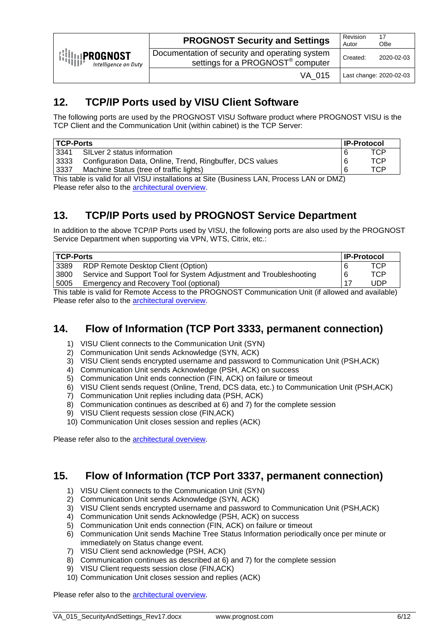| $\left\{\left\{\right \right\}_{\left\{\left\{\right \right\}}\right\}_{\left\{\left\{\left \right \right\}\right\}_{\left\{\left \left \right \right \right\}}\right\}}$ PROGNOST<br>Intelligence on Duty | <b>PROGNOST Security and Settings</b>                                                           | Revision<br>Autor | 17<br><b>OBe</b>        |
|------------------------------------------------------------------------------------------------------------------------------------------------------------------------------------------------------------|-------------------------------------------------------------------------------------------------|-------------------|-------------------------|
|                                                                                                                                                                                                            | Documentation of security and operating system<br>settings for a PROGNOST <sup>®</sup> computer | Created:          | 2020-02-03              |
|                                                                                                                                                                                                            | VA 015                                                                                          |                   | Last change: 2020-02-03 |

# <span id="page-5-0"></span>**12. TCP/IP Ports used by VISU Client Software**

The following ports are used by the PROGNOST VISU Software product where PROGNOST VISU is the TCP Client and the Communication Unit (within cabinet) is the TCP Server:

| <b>TCP-Ports</b> |                                                           | <b>IP-Protocol</b> |  |
|------------------|-----------------------------------------------------------|--------------------|--|
| 3341             | SILver 2 status information                               | TCP                |  |
| 3333             | Configuration Data, Online, Trend, Ringbuffer, DCS values | TCP                |  |
| 3337             | Machine Status (tree of traffic lights)                   | TCP                |  |

This table is valid for all VISU installations at Site (Business LAN, Process LAN or DMZ) Please refer also to the [architectural overview.](http://www.prognost.com/security/Network_Flow_of_Information.pdf)

# <span id="page-5-1"></span>**13. TCP/IP Ports used by PROGNOST Service Department**

In addition to the above TCP/IP Ports used by VISU, the following ports are also used by the PROGNOST Service Department when supporting via VPN, WTS, Citrix, etc.:

| <b>TCP-Ports</b>                               |                                                                    | <b>IP-Protocol</b> |  |
|------------------------------------------------|--------------------------------------------------------------------|--------------------|--|
| 3389                                           | RDP Remote Desktop Client (Option)                                 | TCP                |  |
| 3800                                           | Service and Support Tool for System Adjustment and Troubleshooting | TCP.               |  |
| Emergency and Recovery Tool (optional)<br>5005 |                                                                    | UDP                |  |

This table is valid for Remote Access to the PROGNOST Communication Unit (if allowed and available) Please refer also to the [architectural overview.](http://www.prognost.com/security/Network_Flow_of_Information.pdf)

## <span id="page-5-2"></span>**14. Flow of Information (TCP Port 3333, permanent connection)**

- 1) VISU Client connects to the Communication Unit (SYN)
- 2) Communication Unit sends Acknowledge (SYN, ACK)
- 3) VISU Client sends encrypted username and password to Communication Unit (PSH,ACK)
- 4) Communication Unit sends Acknowledge (PSH, ACK) on success
- 5) Communication Unit ends connection (FIN, ACK) on failure or timeout
- 6) VISU Client sends request (Online, Trend, DCS data, etc.) to Communication Unit (PSH,ACK)
- 7) Communication Unit replies including data (PSH, ACK)
- 8) Communication continues as described at 6) and 7) for the complete session
- 9) VISU Client requests session close (FIN,ACK)
- 10) Communication Unit closes session and replies (ACK)

Please refer also to the **architectural overview**.

### <span id="page-5-3"></span>**15. Flow of Information (TCP Port 3337, permanent connection)**

- 1) VISU Client connects to the Communication Unit (SYN)
- 2) Communication Unit sends Acknowledge (SYN, ACK)
- 3) VISU Client sends encrypted username and password to Communication Unit (PSH,ACK)
- 4) Communication Unit sends Acknowledge (PSH, ACK) on success
- 5) Communication Unit ends connection (FIN, ACK) on failure or timeout
- 6) Communication Unit sends Machine Tree Status Information periodically once per minute or immediately on Status change event.
- 7) VISU Client send acknowledge (PSH, ACK)
- 8) Communication continues as described at 6) and 7) for the complete session
- 9) VISU Client requests session close (FIN,ACK)
- 10) Communication Unit closes session and replies (ACK)

Please refer also to the **architectural overview**.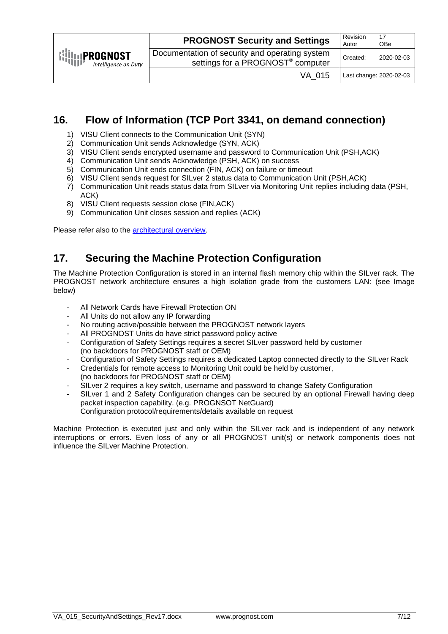| $\left \left \left \left \right \right \right \right $ <b>PROGNOST</b><br>Intelligence on Duty | <b>PROGNOST Security and Settings</b>                                                           | Revision<br>Autor | 17<br><b>OBe</b>        |
|------------------------------------------------------------------------------------------------|-------------------------------------------------------------------------------------------------|-------------------|-------------------------|
|                                                                                                | Documentation of security and operating system<br>settings for a PROGNOST <sup>®</sup> computer | Created:          | 2020-02-03              |
|                                                                                                | VA 015                                                                                          |                   | Last change: 2020-02-03 |

## <span id="page-6-0"></span>**16. Flow of Information (TCP Port 3341, on demand connection)**

- 1) VISU Client connects to the Communication Unit (SYN)
- 2) Communication Unit sends Acknowledge (SYN, ACK)
- 3) VISU Client sends encrypted username and password to Communication Unit (PSH,ACK)
- 4) Communication Unit sends Acknowledge (PSH, ACK) on success
- 5) Communication Unit ends connection (FIN, ACK) on failure or timeout
- 6) VISU Client sends request for SILver 2 status data to Communication Unit (PSH,ACK)
- 7) Communication Unit reads status data from SILver via Monitoring Unit replies including data (PSH, ACK)
- 8) VISU Client requests session close (FIN,ACK)
- 9) Communication Unit closes session and replies (ACK)

Please refer also to the [architectural overview.](http://www.prognost.com/security/Network_Flow_of_Information.pdf)

### <span id="page-6-1"></span>**17. Securing the Machine Protection Configuration**

The Machine Protection Configuration is stored in an internal flash memory chip within the SILver rack. The PROGNOST network architecture ensures a high isolation grade from the customers LAN: (see Image below)

- All Network Cards have Firewall Protection ON
- All Units do not allow any IP forwarding
- No routing active/possible between the PROGNOST network layers
- All PROGNOST Units do have strict password policy active
- Configuration of Safety Settings requires a secret SILver password held by customer (no backdoors for PROGNOST staff or OEM)
- Configuration of Safety Settings requires a dedicated Laptop connected directly to the SILver Rack
- Credentials for remote access to Monitoring Unit could be held by customer, (no backdoors for PROGNOST staff or OEM)
- SILver 2 requires a key switch, username and password to change Safety Configuration
- SILver 1 and 2 Safety Configuration changes can be secured by an optional Firewall having deep packet inspection capability. (e.g. PROGNSOT NetGuard) Configuration protocol/requirements/details available on request

Machine Protection is executed just and only within the SILver rack and is independent of any network interruptions or errors. Even loss of any or all PROGNOST unit(s) or network components does not influence the SILver Machine Protection.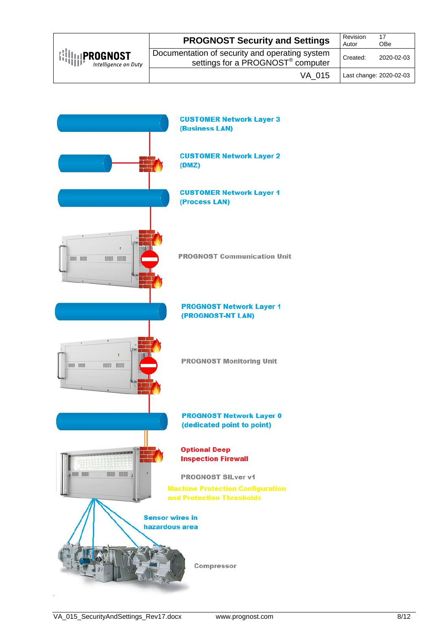| $\left\{\left\{\right \right\}_{\left\{\left\{\right \right\}}\right\}_{\left\{\left\{\left \right \right\}\right\}_{\left\{\left \left \right \right \right\}}\right\}}$ PROGNOST<br>Intelligence on Duty | <b>PROGNOST Security and Settings</b>                                                           | Revision<br>Autor | 17<br><b>OBe</b>        |
|------------------------------------------------------------------------------------------------------------------------------------------------------------------------------------------------------------|-------------------------------------------------------------------------------------------------|-------------------|-------------------------|
|                                                                                                                                                                                                            | Documentation of security and operating system<br>settings for a PROGNOST <sup>®</sup> computer | Created:          | 2020-02-03              |
|                                                                                                                                                                                                            | VA 015                                                                                          |                   | Last change: 2020-02-03 |

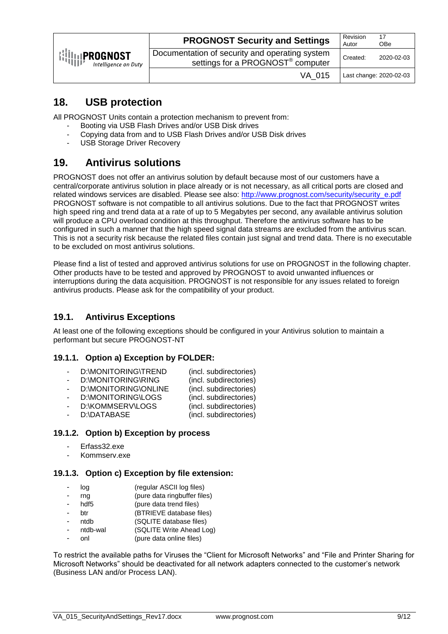| $\left\{\left\{\right \right\}_{\left\{\left\{\right \right\}}\right\}_{\left\{\left\{\left \right \right\}\right\}_{\left\{\left \right \right\}}\right\}}$<br>Intelligence on Duty | <b>PROGNOST Security and Settings</b>                                                           | Revision<br>Autor | 17<br><b>OBe</b>        |
|--------------------------------------------------------------------------------------------------------------------------------------------------------------------------------------|-------------------------------------------------------------------------------------------------|-------------------|-------------------------|
|                                                                                                                                                                                      | Documentation of security and operating system<br>settings for a PROGNOST <sup>®</sup> computer | Created:          | 2020-02-03              |
|                                                                                                                                                                                      | VA 015                                                                                          |                   | Last change: 2020-02-03 |

# <span id="page-8-0"></span>**18. USB protection**

All PROGNOST Units contain a protection mechanism to prevent from:

- Booting via USB Flash Drives and/or USB Disk drives
- Copying data from and to USB Flash Drives and/or USB Disk drives<br>- LISB Storage Driver Recovery
- USB Storage Driver Recovery

# <span id="page-8-1"></span>**19. Antivirus solutions**

PROGNOST does not offer an antivirus solution by default because most of our customers have a central/corporate antivirus solution in place already or is not necessary, as all critical ports are closed and related windows services are disabled. Please see also: [http://www.prognost.com/security/security\\_e.pdf](http://www.prognost.com/security/security_e.pdf) PROGNOST software is not compatible to all antivirus solutions. Due to the fact that PROGNOST writes high speed ring and trend data at a rate of up to 5 Megabytes per second, any available antivirus solution will produce a CPU overload condition at this throughput. Therefore the antivirus software has to be configured in such a manner that the high speed signal data streams are excluded from the antivirus scan. This is not a security risk because the related files contain just signal and trend data. There is no executable to be excluded on most antivirus solutions.

Please find a list of tested and approved antivirus solutions for use on PROGNOST in the following chapter. Other products have to be tested and approved by PROGNOST to avoid unwanted influences or interruptions during the data acquisition. PROGNOST is not responsible for any issues related to foreign antivirus products. Please ask for the compatibility of your product.

#### <span id="page-8-2"></span>**19.1. Antivirus Exceptions**

At least one of the following exceptions should be configured in your Antivirus solution to maintain a performant but secure PROGNOST-NT

#### <span id="page-8-3"></span>**19.1.1. Option a) Exception by FOLDER:**

- D:\MONITORING\TREND (incl. subdirectories)
- D:\MONITORING\RING (incl. subdirectories)
- D:\MONITORING\ONLINE (incl. subdirectories)
- D:\MONITORING\LOGS (incl. subdirectories)
- D:\KOMMSERV\LOGS (incl. subdirectories)<br>D:\DATABASE (incl. subdirectories)
- (incl. subdirectories)

#### <span id="page-8-4"></span>**19.1.2. Option b) Exception by process**

- Erfass32.exe
- Kommserv.exe

#### <span id="page-8-5"></span>**19.1.3. Option c) Exception by file extension:**

- log (regular ASCII log files)
- rng (pure data ringbuffer files)
- hdf5 (pure data trend files)
- btr (BTRIEVE database files)
- ntdb (SQLITE database files)
- ntdb-wal (SQLITE Write Ahead Log)
- onl (pure data online files)

To restrict the available paths for Viruses the "Client for Microsoft Networks" and "File and Printer Sharing for Microsoft Networks" should be deactivated for all network adapters connected to the customer's network (Business LAN and/or Process LAN).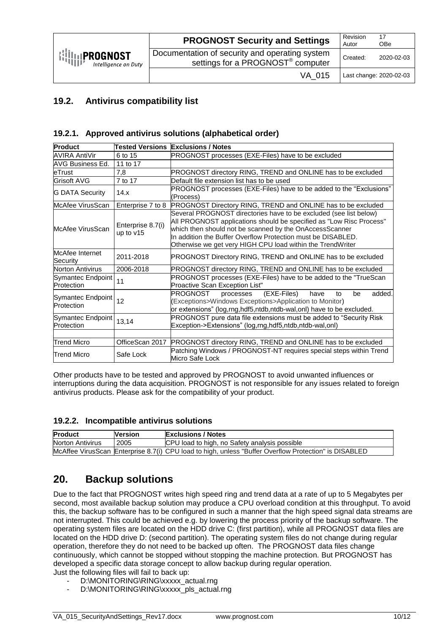| $\left\{\left\{\left\ \right\ ,\left\ \right\ ,\left\ \right\ ,\left\ \right\ \right\}\right\}$ Intelligence on L<br>Intelligence on Duty | <b>PROGNOST Security and Settings</b>                                                           | Revision<br>Autor | 17<br><b>OBe</b>        |
|-------------------------------------------------------------------------------------------------------------------------------------------|-------------------------------------------------------------------------------------------------|-------------------|-------------------------|
|                                                                                                                                           | Documentation of security and operating system<br>settings for a PROGNOST <sup>®</sup> computer | Created:          | 2020-02-03              |
|                                                                                                                                           | VA 015                                                                                          |                   | Last change: 2020-02-03 |

#### <span id="page-9-0"></span>**19.2. Antivirus compatibility list**

#### <span id="page-9-1"></span>**19.2.1. Approved antivirus solutions (alphabetical order)**

| Product                         |                                | <b>Tested Versions Exclusions / Notes</b>                                                                                                                                                                                                                                                                                         |  |
|---------------------------------|--------------------------------|-----------------------------------------------------------------------------------------------------------------------------------------------------------------------------------------------------------------------------------------------------------------------------------------------------------------------------------|--|
| AVIRA AntiVir                   | 6 to 15                        | PROGNOST processes (EXE-Files) have to be excluded                                                                                                                                                                                                                                                                                |  |
| AVG Business Ed.                | 11 to 17                       |                                                                                                                                                                                                                                                                                                                                   |  |
| leTrust                         | 7,8                            | PROGNOST directory RING, TREND and ONLINE has to be excluded                                                                                                                                                                                                                                                                      |  |
| lGrisoft AVG                    | 7 to 17                        | Default file extension list has to be used                                                                                                                                                                                                                                                                                        |  |
| <b>G DATA Security</b>          | 14.x                           | PROGNOST processes (EXE-Files) have to be added to the "Exclusions"<br>(Process)                                                                                                                                                                                                                                                  |  |
| McAfee VirusScan                | Enterprise 7 to 8              | PROGNOST Directory RING, TREND and ONLINE has to be excluded                                                                                                                                                                                                                                                                      |  |
| <b>McAfee VirusScan</b>         | Enterprise 8.7(i)<br>up to v15 | Several PROGNOST directories have to be excluded (see list below)<br>All PROGNOST applications should be specified as "Low Risc Process"<br>which then should not be scanned by the OnAccessScanner<br>In addition the Buffer Overflow Protection must be DISABLED.<br>Otherwise we get very HIGH CPU load within the TrendWriter |  |
| McAfee Internet<br>Security     | 2011-2018                      | PROGNOST Directory RING, TREND and ONLINE has to be excluded                                                                                                                                                                                                                                                                      |  |
| Norton Antivirus                | 2006-2018                      | PROGNOST directory RING, TREND and ONLINE has to be excluded                                                                                                                                                                                                                                                                      |  |
| Symantec Endpoint<br>Protection | 11                             | PROGNOST processes (EXE-Files) have to be added to the "TrueScan<br>Proactive Scan Exception List"                                                                                                                                                                                                                                |  |
| Symantec Endpoint<br>Protection | 12                             | added.<br>(EXE-Files)<br>PROGNOST<br>processes<br>be<br>have<br>to<br>(Exceptions>Windows Exceptions>Application to Monitor)<br>or extensions" (log,rng,hdf5,ntdb,ntdb-wal,onl) have to be excluded.                                                                                                                              |  |
| Symantec Endpoint<br>Protection | 13,14                          | PROGNOST pure data file extensions must be added to "Security Risk<br>Exception->Extensions" (log,rng,hdf5,ntdb,ntdb-wal,onl)                                                                                                                                                                                                     |  |
|                                 |                                |                                                                                                                                                                                                                                                                                                                                   |  |
| Trend Micro                     | OfficeScan 2017                | <b>PROGNOST directory RING, TREND and ONLINE has to be excluded</b>                                                                                                                                                                                                                                                               |  |
| Trend Micro                     | Safe Lock                      | Patching Windows / PROGNOST-NT requires special steps within Trend<br>Micro Safe Lock                                                                                                                                                                                                                                             |  |

Other products have to be tested and approved by PROGNOST to avoid unwanted influences or interruptions during the data acquisition. PROGNOST is not responsible for any issues related to foreign antivirus products. Please ask for the compatibility of your product.

#### <span id="page-9-2"></span>**19.2.2. Incompatible antivirus solutions**

| <b>Product</b>   | <b>Nersion</b> | <b>Exclusions / Notes</b>                                                                             |
|------------------|----------------|-------------------------------------------------------------------------------------------------------|
| Norton Antivirus | 2005           | CPU load to high, no Safety analysis possible                                                         |
|                  |                | McAffee VirusScan Enterprise 8.7(i) CPU load to high, unless "Buffer Overflow Protection" is DISABLED |

## <span id="page-9-3"></span>**20. Backup solutions**

Due to the fact that PROGNOST writes high speed ring and trend data at a rate of up to 5 Megabytes per second, most available backup solution may produce a CPU overload condition at this throughput. To avoid this, the backup software has to be configured in such a manner that the high speed signal data streams are not interrupted. This could be achieved e.g. by lowering the process priority of the backup software. The operating system files are located on the HDD drive C: (first partition), while all PROGNOST data files are located on the HDD drive D: (second partition). The operating system files do not change during regular operation, therefore they do not need to be backed up often. The PROGNOST data files change continuously, which cannot be stopped without stopping the machine protection. But PROGNOST has developed a specific data storage concept to allow backup during regular operation. Just the following files will fail to back up:

- D:\MONITORING\RING\xxxxx\_actual.rng
- D:\MONITORING\RING\xxxxx\_pls\_actual.rng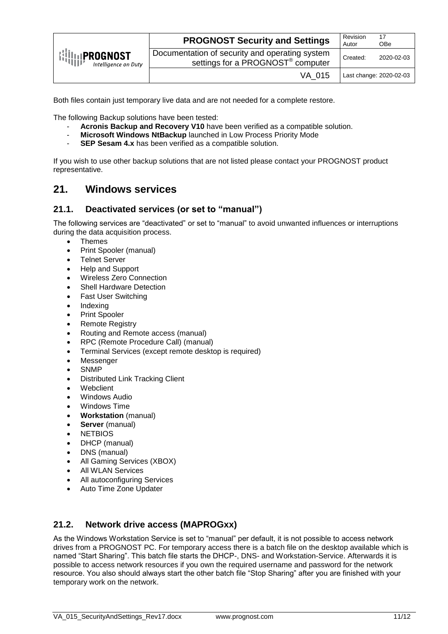| $\left\{\left\{\right \right\}_{\left\{\left\{\right \right\}}\right\}_{\left\{\left\{\left \right \right\}\right\}_{\left\{\left \right \right\}}\right\}}$<br>Intelligence on Duty | <b>PROGNOST Security and Settings</b>                                                           | Revision<br>Autor | 17<br><b>OBe</b>        |
|--------------------------------------------------------------------------------------------------------------------------------------------------------------------------------------|-------------------------------------------------------------------------------------------------|-------------------|-------------------------|
|                                                                                                                                                                                      | Documentation of security and operating system<br>settings for a PROGNOST <sup>®</sup> computer | Created:          | 2020-02-03              |
|                                                                                                                                                                                      | VA 015                                                                                          |                   | Last change: 2020-02-03 |

Both files contain just temporary live data and are not needed for a complete restore.

The following Backup solutions have been tested:

- Acronis Backup and Recovery V10 have been verified as a compatible solution.
- **Microsoft Windows NtBackup** launched in Low Process Priority Mode<br>- **SEP Sesam 4 x** has been verified as a compatible solution
- **SEP Sesam 4.x** has been verified as a compatible solution.

If you wish to use other backup solutions that are not listed please contact your PROGNOST product representative.

### <span id="page-10-0"></span>**21. Windows services**

#### <span id="page-10-1"></span>**21.1. Deactivated services (or set to "manual")**

The following services are "deactivated" or set to "manual" to avoid unwanted influences or interruptions during the data acquisition process.

- Themes
- Print Spooler (manual)
- Telnet Server
- Help and Support
- Wireless Zero Connection
- Shell Hardware Detection
- Fast User Switching
- Indexing
- Print Spooler
- Remote Registry
- Routing and Remote access (manual)
- RPC (Remote Procedure Call) (manual)
- Terminal Services (except remote desktop is required)
- Messenger
- SNMP
- Distributed Link Tracking Client
- Webclient
- Windows Audio
- Windows Time
- **Workstation** (manual)
- **Server** (manual)
- NETBIOS
- DHCP (manual)
- DNS (manual)
- All Gaming Services (XBOX)
- All WLAN Services
- All autoconfiguring Services
- Auto Time Zone Updater

#### <span id="page-10-2"></span>**21.2. Network drive access (MAPROGxx)**

As the Windows Workstation Service is set to "manual" per default, it is not possible to access network drives from a PROGNOST PC. For temporary access there is a batch file on the desktop available which is named "Start Sharing". This batch file starts the DHCP-, DNS- and Workstation-Service. Afterwards it is possible to access network resources if you own the required username and password for the network resource. You also should always start the other batch file "Stop Sharing" after you are finished with your temporary work on the network.